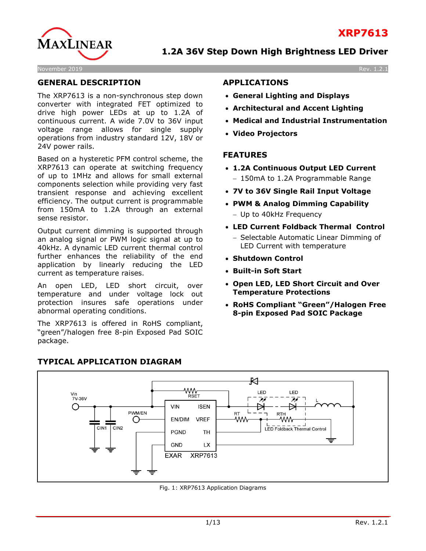

#### November 2019 Rev. 1.2.1

#### **GENERAL DESCRIPTION**

The XRP7613 is a non-synchronous step down converter with integrated FET optimized to drive high power LEDs at up to 1.2A of continuous current. A wide 7.0V to 36V input voltage range allows for single supply operations from industry standard 12V, 18V or 24V power rails.

Based on a hysteretic PFM control scheme, the XRP7613 can operate at switching frequency of up to 1MHz and allows for small external components selection while providing very fast transient response and achieving excellent efficiency. The output current is programmable from 150mA to 1.2A through an external sense resistor.

Output current dimming is supported through an analog signal or PWM logic signal at up to 40kHz. A dynamic LED current thermal control further enhances the reliability of the end application by linearly reducing the LED current as temperature raises.

An open LED, LED short circuit, over temperature and under voltage lock out protection insures safe operations under abnormal operating conditions.

The XRP7613 is offered in RoHS compliant, "green"/halogen free 8-pin Exposed Pad SOIC package.

#### **APPLICATIONS**

- **General Lighting and Displays**
- **Architectural and Accent Lighting**
- **Medical and Industrial Instrumentation**
- **Video Projectors**

#### **FEATURES**

- **1.2A Continuous Output LED Current** − 150mA to 1.2A Programmable Range
- **7V to 36V Single Rail Input Voltage**
- **PWM & Analog Dimming Capability**
	- − Up to 40kHz Frequency
- **LED Current Foldback Thermal Control** − Selectable Automatic Linear Dimming of LED Current with temperature
- **Shutdown Control**
- **Built-in Soft Start**
- **Open LED, LED Short Circuit and Over Temperature Protections**
- **RoHS Compliant "Green"/Halogen Free 8-pin Exposed Pad SOIC Package**



# **TYPICAL APPLICATION DIAGRAM**

Fig. 1: XRP7613 Application Diagrams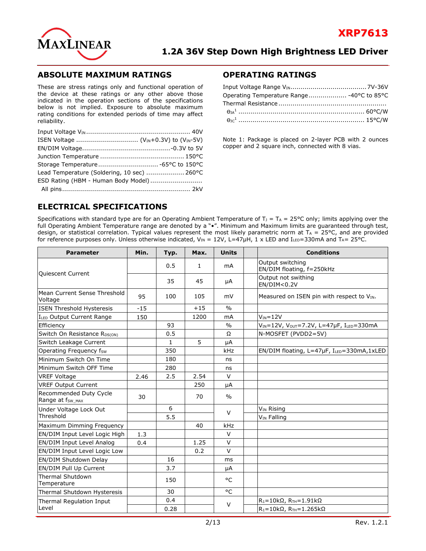

#### **ABSOLUTE MAXIMUM RATINGS**

These are stress ratings only and functional operation of the device at these ratings or any other above those indicated in the operation sections of the specifications below is not implied. Exposure to absolute maximum rating conditions for extended periods of time may affect reliability.

| Lead Temperature (Soldering, 10 sec)  260°C |  |
|---------------------------------------------|--|
| ESD Rating (HBM - Human Body Model)         |  |
|                                             |  |

#### **OPERATING RATINGS**

| Operating Temperature Range -40°C to 85°C |  |
|-------------------------------------------|--|
|                                           |  |
|                                           |  |
|                                           |  |

Note 1: Package is placed on 2-layer PCB with 2 ounces copper and 2 square inch, connected with 8 vias.

# **ELECTRICAL SPECIFICATIONS**

Specifications with standard type are for an Operating Ambient Temperature of  $T_1 = T_A = 25^{\circ}C$  only; limits applying over the full Operating Ambient Temperature range are denoted by a " $\bullet$ ". Minimum and Maximum limits are guaranteed through test, design, or statistical correlation. Typical values represent the most likely parametric norm at  $T_A = 25^{\circ}C$ , and are provided for reference purposes only. Unless otherwise indicated, VIN = 12V, L=47µH, 1 x LED and I<sub>LED</sub>=330mA and T<sub>A</sub>= 25°C.

| <b>Parameter</b>                                       | Min.  | Typ. | Max.         | <b>Units</b>   | <b>Conditions</b>                             |
|--------------------------------------------------------|-------|------|--------------|----------------|-----------------------------------------------|
|                                                        |       | 0.5  | $\mathbf{1}$ | mA             | Output switching<br>EN/DIM floating, f=250kHz |
| Quiescent Current                                      |       | 35   | 45           | μA             | Output not swithing<br>EN/DIM < 0.2V          |
| Mean Current Sense Threshold<br>Voltage                | 95    | 100  | 105          | mV             | Measured on ISEN pin with respect to VIN.     |
| <b>ISEN Threshold Hysteresis</b>                       | $-15$ |      | $+15$        | $\frac{0}{0}$  |                                               |
| ILED Output Current Range                              | 150   |      | 1200         | m <sub>A</sub> | $V_{IN} = 12V$                                |
| Efficiency                                             |       | 93   |              | $\frac{0}{0}$  | VIN=12V, VOUT=7.2V, L=47µF, ILED=330mA        |
| Switch On Resistance R <sub>DS(ON)</sub>               |       | 0.5  |              | Ω              | N-MOSFET (PVDD2=5V)                           |
| Switch Leakage Current                                 |       | 1    | 5            | μA             |                                               |
| Operating Frequency fsw                                |       | 350  |              | kHz            | EN/DIM floating, L=47µF, ILED=330mA,1xLED     |
| Minimum Switch On Time                                 |       | 180  |              | ns             |                                               |
| Minimum Switch OFF Time                                |       | 280  |              | ns             |                                               |
| <b>VREF Voltage</b>                                    | 2.46  | 2.5  | 2.54         | $\vee$         |                                               |
| <b>VREF Output Current</b>                             |       |      | 250          | μA             |                                               |
| Recommended Duty Cycle<br>Range at f <sub>sw_MAX</sub> | 30    |      | 70           | $\frac{0}{0}$  |                                               |
| Under Voltage Lock Out                                 |       | 6    |              | $\vee$         | V <sub>IN</sub> Rising                        |
| Threshold                                              |       | 5.5  |              |                | V <sub>IN</sub> Falling                       |
| Maximum Dimming Frequency                              |       |      | 40           | kHz            |                                               |
| EN/DIM Input Level Logic High                          | 1.3   |      |              | $\vee$         |                                               |
| EN/DIM Input Level Analog                              | 0.4   |      | 1.25         | $\vee$         |                                               |
| EN/DIM Input Level Logic Low                           |       |      | 0.2          | $\vee$         |                                               |
| EN/DIM Shutdown Delay                                  |       | 16   |              | ms             |                                               |
| EN/DIM Pull Up Current                                 |       | 3.7  |              | μA             |                                               |
| Thermal Shutdown<br>Temperature                        |       | 150  |              | °C             |                                               |
| Thermal Shutdown Hysteresis                            |       | 30   |              | °C             |                                               |
| Thermal Regulation Input                               |       | 0.4  |              | $\vee$         | $R_1 = 10k\Omega$ , $R_{TH} = 1.91k\Omega$    |
| Level                                                  |       | 0.28 |              |                | $R_1 = 10k\Omega$ , $R_{TH} = 1.265k\Omega$   |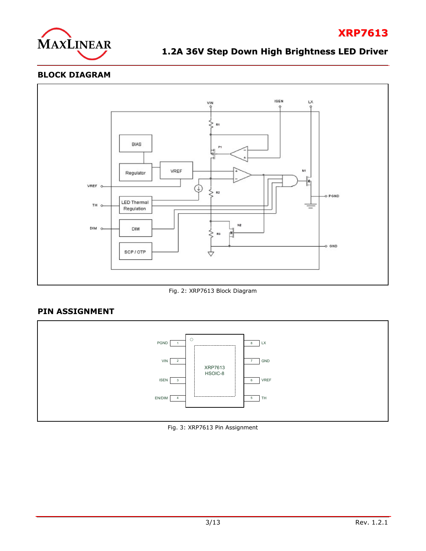

**XRP7613**

# **BLOCK DIAGRAM**



Fig. 2: XRP7613 Block Diagram

# **PIN ASSIGNMENT**



Fig. 3: XRP7613 Pin Assignment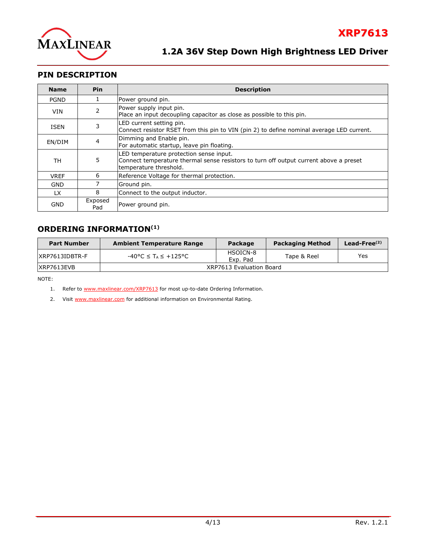

## **PIN DESCRIPTION**

| <b>Name</b> | <b>Pin</b>     | <b>Description</b>                                                                                                                                         |  |  |
|-------------|----------------|------------------------------------------------------------------------------------------------------------------------------------------------------------|--|--|
| <b>PGND</b> |                | Power ground pin.                                                                                                                                          |  |  |
| VIN         | 2              | Power supply input pin.<br>Place an input decoupling capacitor as close as possible to this pin.                                                           |  |  |
| ISEN        | 3              | LED current setting pin.<br>Connect resistor RSET from this pin to VIN (pin 2) to define nominal average LED current.                                      |  |  |
| EN/DIM      | $\overline{4}$ | Dimming and Enable pin.<br>For automatic startup, leave pin floating.                                                                                      |  |  |
| TН          | 5              | LED temperature protection sense input.<br>Connect temperature thermal sense resistors to turn off output current above a preset<br>temperature threshold. |  |  |
| <b>VREF</b> | 6              | Reference Voltage for thermal protection.                                                                                                                  |  |  |
| <b>GND</b>  |                | Ground pin.                                                                                                                                                |  |  |
| LX.         | 8              | Connect to the output inductor.                                                                                                                            |  |  |
| GND         | Exposed<br>Pad | Power ground pin.                                                                                                                                          |  |  |

### **ORDERING INFORMATION(1)**

| <b>Part Number</b> | <b>Ambient Temperature Range</b>                    | Package                  | <b>Packaging Method</b> | Lead-Free $(2)$ |
|--------------------|-----------------------------------------------------|--------------------------|-------------------------|-----------------|
| $IXRP7613IDBTR-F$  | $-40^{\circ}$ C $\leq$ T <sub>A</sub> $\leq$ +125°C | HSOICN-8<br>Exp. Pad     | Tape & Reel             | Yes             |
| IXRP7613EVB        |                                                     | XRP7613 Evaluation Board |                         |                 |

NOTE:

1. Refer to [www.maxlinear.com/XRP7613](http://www.maxlinear.com/XRP7613) for most up-to-date Ordering Information.

2. Visit [www.maxlinear.com](http://www.maxlinear.com/) for additional information on Environmental Rating.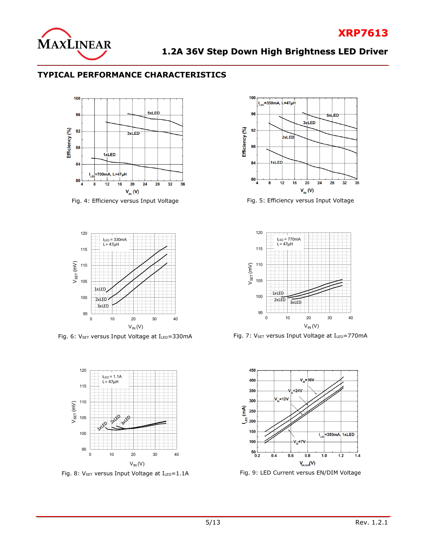

**XRP7613**

## **TYPICAL PERFORMANCE CHARACTERISTICS**





Fig. 6: V<sub>SET</sub> versus Input Voltage at I<sub>LED</sub>=330mA Fig. 7: V<sub>SET</sub> versus Input Voltage at I<sub>LED</sub>=770mA





Fig. 4: Efficiency versus Input Voltage Fig. 5: Efficiency versus Input Voltage





Fig. 8:  $V_{\text{SET}}$  versus Input Voltage at  $I_{\text{LED}}=1.1$ A Fig. 9: LED Current versus EN/DIM Voltage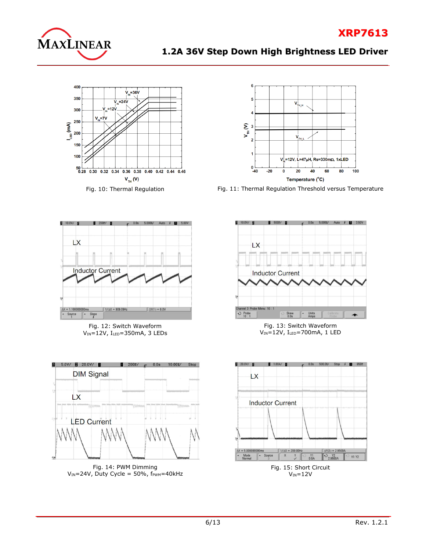







Fig. 10: Thermal Regulation Fig. 11: Thermal Regulation Threshold versus Temperature



Fig. 12: Switch Waveform  $V_{IN}$ =12V, I<sub>LED</sub>=350mA, 3 LEDs



Fig. 14: PWM Dimming  $V_{IN}$ =24V, Duty Cycle = 50%,  $f_{PWM}$ =40kHz



Fig. 13: Switch Waveform VIN=12V, ILED=700mA, 1 LED



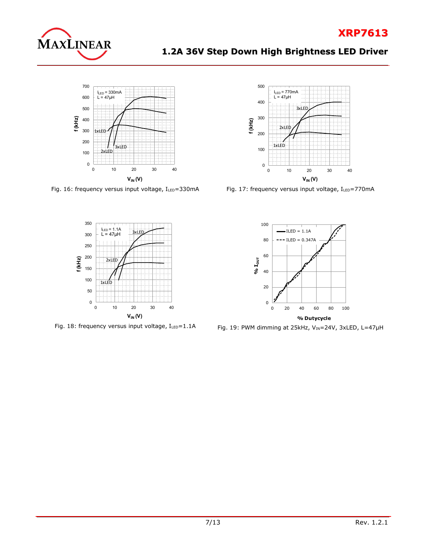

# **XRP7613**

# **1.2A 36V Step Down High Brightness LED Driver**



Fig. 16: frequency versus input voltage,  $I_{LED} = 330$ mA Fig. 17: frequency versus input voltage,  $I_{LED} = 770$ mA







Fig. 18: frequency versus input voltage, ILED=1.1A Fig. 19: PWM dimming at 25kHz, VIN=24V, 3xLED, L=47µH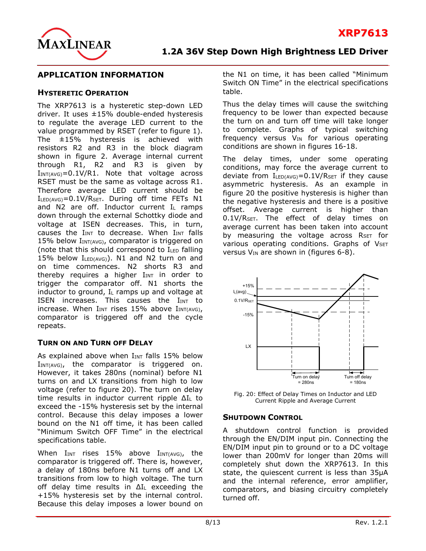

#### **APPLICATION INFORMATION**

#### **HYSTERETIC OPERATION**

The XRP7613 is a hysteretic step-down LED driver. It uses ±15% double-ended hysteresis to regulate the average LED current to the value programmed by RSET (refer to figure 1). The ±15% hysteresis is achieved with resistors R2 and R3 in the block diagram shown in figure 2. Average internal current through R1, R2 and R3 is given by  $I_{INT(AVG)} = 0.1V/R1$ . Note that voltage across RSET must be the same as voltage across R1. Therefore average LED current should be ILED(AVG)=0.1V/RSET. During off time FETs N1 and N2 are off. Inductor current  $I_L$  ramps down through the external Schottky diode and voltage at ISEN decreases. This, in turn, causes the  $I_{INT}$  to decrease. When  $I_{INT}$  falls 15% below  $I_{INT(AVG)}$ , comparator is triggered on (note that this should correspond to ILED falling 15% below  $I_{LED(AVG)}$ ). N1 and N2 turn on and on time commences. N2 shorts R3 and thereby requires a higher  $I_{INT}$  in order to trigger the comparator off. N1 shorts the inductor to ground,  $I_L$  ramps up and voltage at ISEN increases. This causes the  $I_{INT}$  to increase. When  $I_{INT}$  rises 15% above  $I_{INT(AVG)}$ , comparator is triggered off and the cycle repeats.

#### **TURN ON AND TURN OFF DELAY**

As explained above when  $I_{INT}$  falls 15% below  $I_{INT(AVG)}$ , the comparator is triggered on. However, it takes 280ns (nominal) before N1 turns on and LX transitions from high to low voltage (refer to figure 20). The turn on delay time results in inductor current ripple ΔI<sup>L</sup> to exceed the -15% hysteresis set by the internal control. Because this delay imposes a lower bound on the N1 off time, it has been called "Minimum Switch OFF Time" in the electrical specifications table.

When  $I_{INT}$  rises 15% above  $I_{INT(AVG)}$ , the comparator is triggered off. There is, however, a delay of 180ns before N1 turns off and LX transitions from low to high voltage. The turn off delay time results in ΔI<sup>L</sup> exceeding the +15% hysteresis set by the internal control. Because this delay imposes a lower bound on the N1 on time, it has been called "Minimum Switch ON Time" in the electrical specifications table.

Thus the delay times will cause the switching frequency to be lower than expected because the turn on and turn off time will take longer to complete. Graphs of typical switching frequency versus V<sub>IN</sub> for various operating conditions are shown in figures 16-18.

The delay times, under some operating conditions, may force the average current to deviate from  $I_{LED(AVG)} = 0.1 V/ R_{SET}$  if they cause asymmetric hysteresis. As an example in figure 20 the positive hysteresis is higher than the negative hysteresis and there is a positive offset. Average current is higher than  $0.1$ V/R<sub>SET</sub>. The effect of delay times on average current has been taken into account by measuring the voltage across RSET for various operating conditions. Graphs of  $V_{\text{SET}}$ versus  $V_{IN}$  are shown in (figures 6-8).



Fig. 20: Effect of Delay Times on Inductor and LED Current Ripple and Average Current

#### **SHUTDOWN CONTROL**

A shutdown control function is provided through the EN/DIM input pin. Connecting the EN/DIM input pin to ground or to a DC voltage lower than 200mV for longer than 20ms will completely shut down the XRP7613. In this state, the quiescent current is less than 35μA and the internal reference, error amplifier, comparators, and biasing circuitry completely turned off.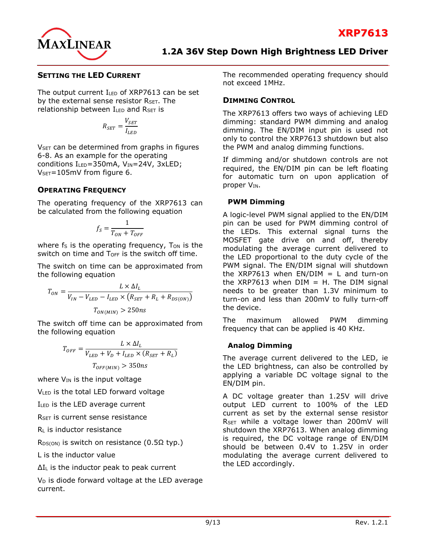

#### **SETTING THE LED CURRENT**

The output current ILED of XRP7613 can be set by the external sense resistor RSET. The relationship between  $I_{LED}$  and  $R_{SET}$  is

$$
R_{SET} = \frac{V_{SET}}{I_{LED}}
$$

V<sub>SET</sub> can be determined from graphs in figures 6-8. As an example for the operating conditions  $I_{LED} = 350$ mA,  $V_{IN} = 24V$ ,  $3xLED$ ;  $V_{\text{SET}} = 105 \text{mV}$  from figure 6.

#### **OPERATING FREQUENCY**

The operating frequency of the XRP7613 can be calculated from the following equation

$$
f_S = \frac{1}{T_{ON} + T_{OFF}}
$$

where  $f_s$  is the operating frequency,  $T_{ON}$  is the switch on time and T<sub>OFF</sub> is the switch off time.

The switch on time can be approximated from the following equation

$$
T_{ON} = \frac{L \times \Delta I_L}{V_{IN} - V_{LED} - I_{LED} \times (R_{SET} + R_L + R_{DS(ON)})}
$$

$$
T_{ON(MIN)} > 250ns
$$

The switch off time can be approximated from the following equation

$$
T_{OFF} = \frac{L \times \Delta I_L}{V_{LED} + V_D + I_{LED} \times (R_{SET} + R_L)}
$$

$$
T_{OFF(MIN)} > 350ns
$$

where  $V_{IN}$  is the input voltage

VLED is the total LED forward voltage

ILED is the LED average current

R<sub>SET</sub> is current sense resistance

 $R<sub>L</sub>$  is inductor resistance

 $R_{DS(ON)}$  is switch on resistance (0.5 $\Omega$  typ.)

L is the inductor value

ΔI<sup>L</sup> is the inductor peak to peak current

 $V<sub>D</sub>$  is diode forward voltage at the LED average current.

The recommended operating frequency should not exceed 1MHz.

#### **DIMMING CONTROL**

The XRP7613 offers two ways of achieving LED dimming: standard PWM dimming and analog dimming. The EN/DIM input pin is used not only to control the XRP7613 shutdown but also the PWM and analog dimming functions.

If dimming and/or shutdown controls are not required, the EN/DIM pin can be left floating for automatic turn on upon application of proper V<sub>IN</sub>.

#### **PWM Dimming**

A logic-level PWM signal applied to the EN/DIM pin can be used for PWM dimming control of the LEDs. This external signal turns the MOSFET gate drive on and off, thereby modulating the average current delivered to the LED proportional to the duty cycle of the PWM signal. The EN/DIM signal will shutdown the XRP7613 when  $EN/DIM = L$  and turn-on the XRP7613 when  $DIM = H$ . The  $DIM$  signal needs to be greater than 1.3V minimum to turn-on and less than 200mV to fully turn-off the device.

The maximum allowed PWM dimming frequency that can be applied is 40 KHz.

#### **Analog Dimming**

The average current delivered to the LED, ie the LED brightness, can also be controlled by applying a variable DC voltage signal to the EN/DIM pin.

A DC voltage greater than 1.25V will drive output LED current to 100% of the LED current as set by the external sense resistor RSET while a voltage lower than 200mV will shutdown the XRP7613. When analog dimming is required, the DC voltage range of EN/DIM should be between 0.4V to 1.25V in order modulating the average current delivered to the LED accordingly.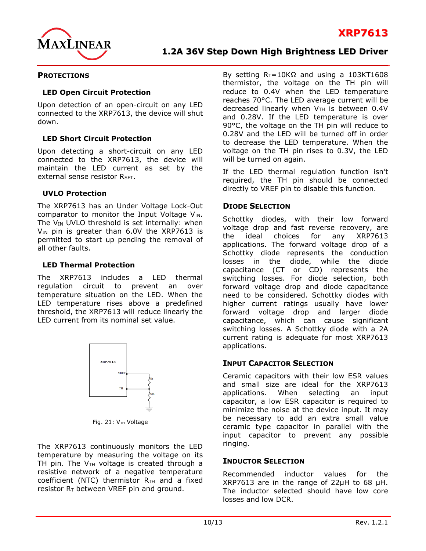

#### **PROTECTIONS**

#### **LED Open Circuit Protection**

Upon detection of an open-circuit on any LED connected to the XRP7613, the device will shut down.

#### **LED Short Circuit Protection**

Upon detecting a short-circuit on any LED connected to the XRP7613, the device will maintain the LED current as set by the external sense resistor RSFT.

#### **UVLO Protection**

The XRP7613 has an Under Voltage Lock-Out comparator to monitor the Input Voltage  $V_{IN}$ . The  $V_{IN}$  UVLO threshold is set internally: when  $V_{IN}$  pin is greater than 6.0V the XRP7613 is permitted to start up pending the removal of all other faults.

#### **LED Thermal Protection**

The XRP7613 includes a LED thermal regulation circuit to prevent an over temperature situation on the LED. When the LED temperature rises above a predefined threshold, the XRP7613 will reduce linearly the LED current from its nominal set value.



Fig. 21:  $V_{TH}$  Voltage

The XRP7613 continuously monitors the LED temperature by measuring the voltage on its TH pin. The  $V<sub>TH</sub>$  voltage is created through a resistive network of a negative temperature coefficient (NTC) thermistor  $R_{TH}$  and a fixed resistor  $R_T$  between VREF pin and ground.

By setting  $R_T = 10KΩ$  and using a 103KT1608 thermistor, the voltage on the TH pin will reduce to 0.4V when the LED temperature reaches 70°C. The LED average current will be decreased linearly when  $V<sub>TH</sub>$  is between 0.4V and 0.28V. If the LED temperature is over 90°C, the voltage on the TH pin will reduce to 0.28V and the LED will be turned off in order to decrease the LED temperature. When the voltage on the TH pin rises to 0.3V, the LED will be turned on again.

**1.2A 36V Step Down High Brightness LED Driver**

If the LED thermal regulation function isn't required, the TH pin should be connected directly to VREF pin to disable this function.

#### **DIODE SELECTION**

Schottky diodes, with their low forward voltage drop and fast reverse recovery, are the ideal choices for any XRP7613 applications. The forward voltage drop of a Schottky diode represents the conduction losses in the diode, while the diode capacitance (CT or CD) represents the switching losses. For diode selection, both forward voltage drop and diode capacitance need to be considered. Schottky diodes with higher current ratings usually have lower forward voltage drop and larger diode capacitance, which can cause significant switching losses. A Schottky diode with a 2A current rating is adequate for most XRP7613 applications.

#### **INPUT CAPACITOR SELECTION**

Ceramic capacitors with their low ESR values and small size are ideal for the XRP7613 applications. When selecting an input capacitor, a low ESR capacitor is required to minimize the noise at the device input. It may be necessary to add an extra small value ceramic type capacitor in parallel with the input capacitor to prevent any possible ringing.

#### **INDUCTOR SELECTION**

Recommended inductor values for the XRP7613 are in the range of 22µH to 68 µH. The inductor selected should have low core losses and low DCR.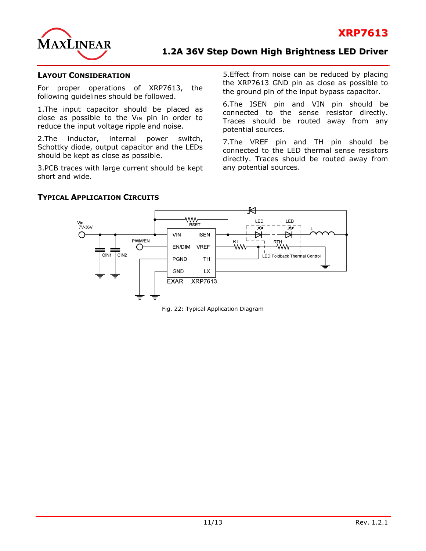

#### **LAYOUT CONSIDERATION**

For proper operations of XRP7613, the following guidelines should be followed.

1.The input capacitor should be placed as close as possible to the  $V_{IN}$  pin in order to reduce the input voltage ripple and noise.

2.The inductor, internal power switch, Schottky diode, output capacitor and the LEDs should be kept as close as possible.

3.PCB traces with large current should be kept short and wide.

5.Effect from noise can be reduced by placing the XRP7613 GND pin as close as possible to the ground pin of the input bypass capacitor.

6.The ISEN pin and VIN pin should be connected to the sense resistor directly. Traces should be routed away from any potential sources.

7.The VREF pin and TH pin should be connected to the LED thermal sense resistors directly. Traces should be routed away from any potential sources.



#### **TYPICAL APPLICATION CIRCUITS**

Fig. 22: Typical Application Diagram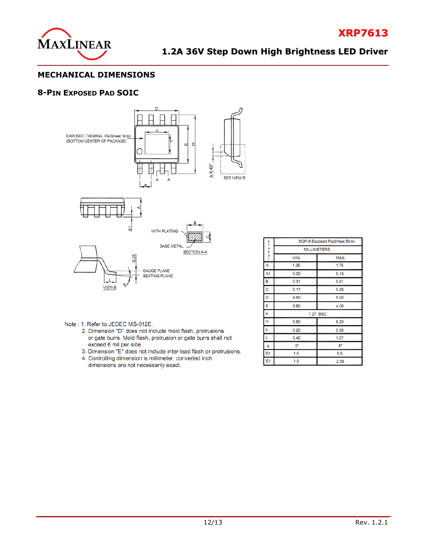

**XRP7613**

#### **MECHANICAL DIMENSIONS**

#### **8-PIN EXPOSED PAD SOIC**



- Note: 1. Refer to JEDEC MS-012E.
	- 2. Dimension "D" does not include mold flash, protrusions or gate burrs. Mold flash, protrusion or gate burrs shall not exceed 6 mil per side.
	- 3. Dimension "E" does not include inter-lead flash or protrusions.
	- 4. Controlling dimension is millimeter, converted inch dimensions are not necessarily exact.

|                                  | SOP-8 Exposed Pad(Heat Sink) |          |  |  |
|----------------------------------|------------------------------|----------|--|--|
| $-0$ $\equiv$ $\times$ $\approx$ | <b>MILLIMETERS</b>           |          |  |  |
|                                  | MIN.                         | MAX.     |  |  |
| Α                                | 1.35                         | 1.75     |  |  |
| A1                               | 0.00                         | 0.15     |  |  |
| в                                | 0.31                         | 0.51     |  |  |
| $\mathbf C$                      | 0.17                         | 0.25     |  |  |
| D                                | 4.80                         | 5.00     |  |  |
| E                                | 3.80                         | 4.00     |  |  |
| е                                |                              | 1.27 BSC |  |  |
| н                                | 5.80                         | 6.20     |  |  |
| h                                | 0.25                         | 0.50     |  |  |
| L                                | 0.40                         | 1.27     |  |  |
| q                                | О°                           | 8°       |  |  |
| D <sub>1</sub>                   | 1.5                          | 3.5      |  |  |
| E1                               | 1.0                          | 2.55     |  |  |